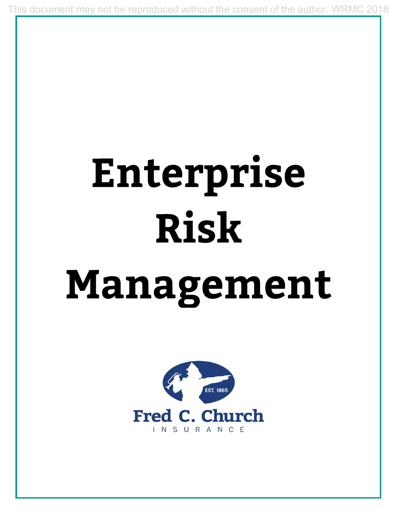This document may not be reproduced without the consent of the author. WRMC 2018

## Enterprise **Risk**

## Management

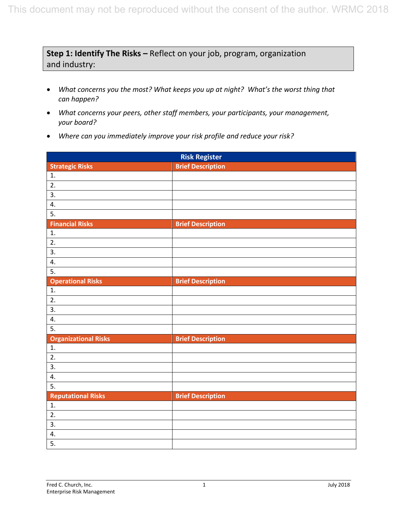## **Step 1: Identify The Risks –** Reflect on your job, program, organization and industry:

- *What concerns you the most? What keeps you up at night? What's the worst thing that can happen?*
- *What concerns your peers, other staff members, your participants, your management, your board?*
- *Where can you immediately improve your risk profile and reduce your risk?*

| <b>Risk Register</b>        |                          |  |  |
|-----------------------------|--------------------------|--|--|
| <b>Strategic Risks</b>      | <b>Brief Description</b> |  |  |
| 1.                          |                          |  |  |
| 2.                          |                          |  |  |
| $\overline{3}$ .            |                          |  |  |
| 4.                          |                          |  |  |
| $\overline{5}$ .            |                          |  |  |
| <b>Financial Risks</b>      | <b>Brief Description</b> |  |  |
| 1.                          |                          |  |  |
| $\overline{2}$ .            |                          |  |  |
| 3.                          |                          |  |  |
| 4.                          |                          |  |  |
| 5.                          |                          |  |  |
| <b>Operational Risks</b>    | <b>Brief Description</b> |  |  |
| 1.                          |                          |  |  |
| 2.                          |                          |  |  |
| $\overline{3}$ .            |                          |  |  |
| 4.                          |                          |  |  |
| $\overline{5}$ .            |                          |  |  |
| <b>Organizational Risks</b> | <b>Brief Description</b> |  |  |
| 1.                          |                          |  |  |
| $\overline{2}$ .            |                          |  |  |
| 3.                          |                          |  |  |
| 4.                          |                          |  |  |
| 5.                          |                          |  |  |
| <b>Reputational Risks</b>   | <b>Brief Description</b> |  |  |
| $\overline{1}$ .            |                          |  |  |
| 2.                          |                          |  |  |
| 3.                          |                          |  |  |
| 4.                          |                          |  |  |
| $\overline{5}$ .            |                          |  |  |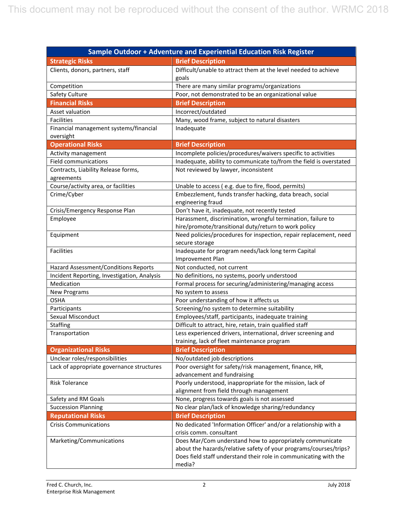| Sample Outdoor + Adventure and Experiential Education Risk Register |                                                                                                              |  |  |  |
|---------------------------------------------------------------------|--------------------------------------------------------------------------------------------------------------|--|--|--|
| <b>Strategic Risks</b>                                              | <b>Brief Description</b>                                                                                     |  |  |  |
| Clients, donors, partners, staff                                    | Difficult/unable to attract them at the level needed to achieve                                              |  |  |  |
|                                                                     | goals                                                                                                        |  |  |  |
| Competition                                                         | There are many similar programs/organizations                                                                |  |  |  |
| Safety Culture                                                      | Poor, not demonstrated to be an organizational value                                                         |  |  |  |
| <b>Financial Risks</b>                                              | <b>Brief Description</b>                                                                                     |  |  |  |
| Asset valuation                                                     | Incorrect/outdated                                                                                           |  |  |  |
| Facilities                                                          | Many, wood frame, subject to natural disasters                                                               |  |  |  |
| Financial management systems/financial                              | Inadequate                                                                                                   |  |  |  |
| oversight                                                           |                                                                                                              |  |  |  |
| <b>Operational Risks</b>                                            | <b>Brief Description</b>                                                                                     |  |  |  |
| Activity management                                                 | Incomplete policies/procedures/waivers specific to activities                                                |  |  |  |
| <b>Field communications</b>                                         | Inadequate, ability to communicate to/from the field is overstated                                           |  |  |  |
| Contracts, Liability Release forms,                                 | Not reviewed by lawyer, inconsistent                                                                         |  |  |  |
| agreements                                                          |                                                                                                              |  |  |  |
| Course/activity area, or facilities                                 | Unable to access (e.g. due to fire, flood, permits)                                                          |  |  |  |
| Crime/Cyber                                                         | Embezzlement, funds transfer hacking, data breach, social                                                    |  |  |  |
|                                                                     | engineering fraud                                                                                            |  |  |  |
| Crisis/Emergency Response Plan                                      | Don't have it, inadequate, not recently tested                                                               |  |  |  |
| Employee                                                            | Harassment, discrimination, wrongful termination, failure to                                                 |  |  |  |
|                                                                     | hire/promote/transitional duty/return to work policy                                                         |  |  |  |
| Equipment                                                           | Need policies/procedures for inspection, repair replacement, need                                            |  |  |  |
|                                                                     | secure storage                                                                                               |  |  |  |
| Facilities                                                          | Inadequate for program needs/lack long term Capital                                                          |  |  |  |
|                                                                     | Improvement Plan                                                                                             |  |  |  |
| <b>Hazard Assessment/Conditions Reports</b>                         | Not conducted, not current                                                                                   |  |  |  |
| Incident Reporting, Investigation, Analysis                         | No definitions, no systems, poorly understood                                                                |  |  |  |
| Medication                                                          | Formal process for securing/administering/managing access                                                    |  |  |  |
| <b>New Programs</b>                                                 | No system to assess                                                                                          |  |  |  |
| <b>OSHA</b>                                                         | Poor understanding of how it affects us                                                                      |  |  |  |
| Participants                                                        | Screening/no system to determine suitability                                                                 |  |  |  |
| Sexual Misconduct                                                   | Employees/staff, participants, inadequate training                                                           |  |  |  |
| Staffing                                                            | Difficult to attract, hire, retain, train qualified staff                                                    |  |  |  |
| Transportation                                                      | Less experienced drivers, international, driver screening and<br>training, lack of fleet maintenance program |  |  |  |
|                                                                     |                                                                                                              |  |  |  |
| <b>Organizational Risks</b><br>Unclear roles/responsibilities       | <b>Brief Description</b>                                                                                     |  |  |  |
|                                                                     | No/outdated job descriptions<br>Poor oversight for safety/risk management, finance, HR,                      |  |  |  |
| Lack of appropriate governance structures                           | advancement and fundraising                                                                                  |  |  |  |
| <b>Risk Tolerance</b>                                               | Poorly understood, inappropriate for the mission, lack of                                                    |  |  |  |
|                                                                     | alignment from field through management                                                                      |  |  |  |
| Safety and RM Goals                                                 | None, progress towards goals is not assessed                                                                 |  |  |  |
| <b>Succession Planning</b>                                          | No clear plan/lack of knowledge sharing/redundancy                                                           |  |  |  |
| <b>Reputational Risks</b>                                           | <b>Brief Description</b>                                                                                     |  |  |  |
| <b>Crisis Communications</b>                                        | No dedicated 'Information Officer' and/or a relationship with a                                              |  |  |  |
|                                                                     | crisis comm. consultant                                                                                      |  |  |  |
| Marketing/Communications                                            | Does Mar/Com understand how to appropriately communicate                                                     |  |  |  |
|                                                                     | about the hazards/relative safety of your programs/courses/trips?                                            |  |  |  |
|                                                                     | Does field staff understand their role in communicating with the                                             |  |  |  |
|                                                                     | media?                                                                                                       |  |  |  |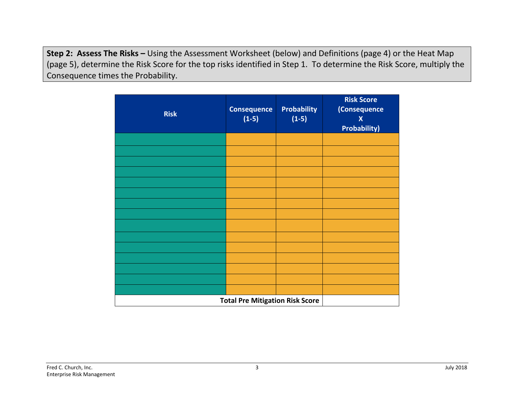**Step 2: Assess The Risks –** Using the Assessment Worksheet (below) and Definitions (page 4) or the Heat Map (page 5), determine the Risk Score for the top risks identified in Step 1. To determine the Risk Score, multiply the Consequence times the Probability.

| <b>Risk</b>                            | <b>Consequence</b><br>$(1-5)$ | <b>Probability</b><br>$(1-5)$ | <b>Risk Score</b><br>(Consequence<br>$\boldsymbol{X}$<br><b>Probability)</b> |
|----------------------------------------|-------------------------------|-------------------------------|------------------------------------------------------------------------------|
|                                        |                               |                               |                                                                              |
|                                        |                               |                               |                                                                              |
|                                        |                               |                               |                                                                              |
|                                        |                               |                               |                                                                              |
|                                        |                               |                               |                                                                              |
|                                        |                               |                               |                                                                              |
|                                        |                               |                               |                                                                              |
|                                        |                               |                               |                                                                              |
|                                        |                               |                               |                                                                              |
|                                        |                               |                               |                                                                              |
|                                        |                               |                               |                                                                              |
|                                        |                               |                               |                                                                              |
|                                        |                               |                               |                                                                              |
|                                        |                               |                               |                                                                              |
|                                        |                               |                               |                                                                              |
| <b>Total Pre Mitigation Risk Score</b> |                               |                               |                                                                              |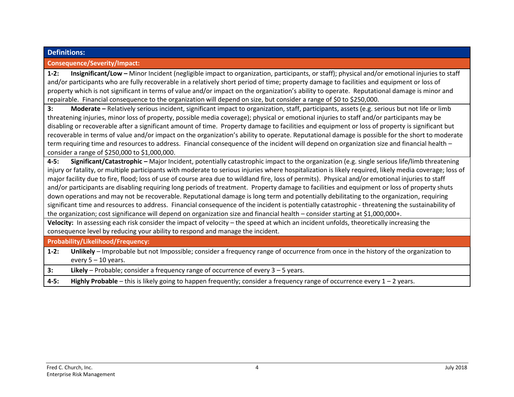## **Definitions: Consequence/Severity/Impact: 1-2: Insignificant/Low –** Minor Incident (negligible impact to organization, participants, or staff); physical and/or emotional injuries to staff and/or participants who are fully recoverable in a relatively short period of time; property damage to facilities and equipment or loss of property which is not significant in terms of value and/or impact on the organization's ability to operate. Reputational damage is minor and repairable. Financial consequence to the organization will depend on size, but consider a range of \$0 to \$250,000. **3: Moderate –** Relatively serious incident, significant impact to organization, staff, participants, assets (e.g. serious but not life or limb threatening injuries, minor loss of property, possible media coverage); physical or emotional injuries to staff and/or participants may be disabling or recoverable after a significant amount of time. Property damage to facilities and equipment or loss of property is significant but recoverable in terms of value and/or impact on the organization's ability to operate. Reputational damage is possible for the short to moderate term requiring time and resources to address. Financial consequence of the incident will depend on organization size and financial health – consider a range of \$250,000 to \$1,000,000. **4-5: Significant/Catastrophic –** Major Incident, potentially catastrophic impact to the organization (e.g. single serious life/limb threatening injury or fatality, or multiple participants with moderate to serious injuries where hospitalization is likely required, likely media coverage; loss of major facility due to fire, flood; loss of use of course area due to wildland fire, loss of permits). Physical and/or emotional injuries to staff and/or participants are disabling requiring long periods of treatment. Property damage to facilities and equipment or loss of property shuts down operations and may not be recoverable. Reputational damage is long term and potentially debilitating to the organization, requiring significant time and resources to address. Financial consequence of the incident is potentially catastrophic - threatening the sustainability of the organization; cost significance will depend on organization size and financial health – consider starting at \$1,000,000+. **Velocity:** In assessing each risk consider the impact of velocity – the speed at which an incident unfolds, theoretically increasing the consequence level by reducing your ability to respond and manage the incident. **Probability/Likelihood/Frequency: 1-2: Unlikely** – Improbable but not Impossible; consider a frequency range of occurrence from once in the history of the organization to every 5 – 10 years. **3: Likely** – Probable; consider a frequency range of occurrence of every 3 – 5 years. **4-5: Highly Probable** – this is likely going to happen frequently; consider a frequency range of occurrence every 1 – 2 years.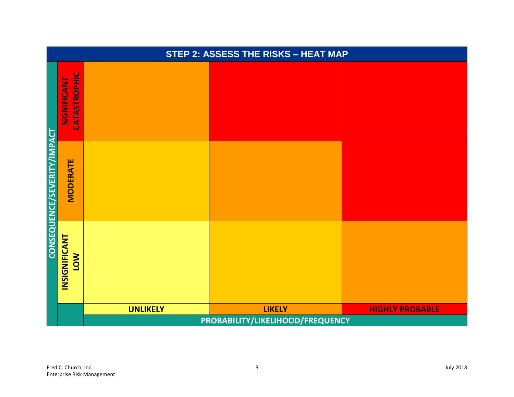|                             | STEP 2: ASSESS THE RISKS - HEAT MAP       |                 |               |                        |  |  |
|-----------------------------|-------------------------------------------|-----------------|---------------|------------------------|--|--|
|                             | <b>CATASTROPHIC</b><br><b>SIGNIFICANT</b> |                 |               |                        |  |  |
| CONSEQUENCE/SEVERITY/IMPACT | <b>MODERATE</b>                           |                 |               |                        |  |  |
|                             | <b>INSIGNIFICANT</b><br><b>MOT</b>        |                 |               |                        |  |  |
|                             |                                           | <b>UNLIKELY</b> | <b>LIKELY</b> | <b>HIGHLY PROBABLE</b> |  |  |
|                             | PROBABILITY/LIKELIHOOD/FREQUENCY          |                 |               |                        |  |  |